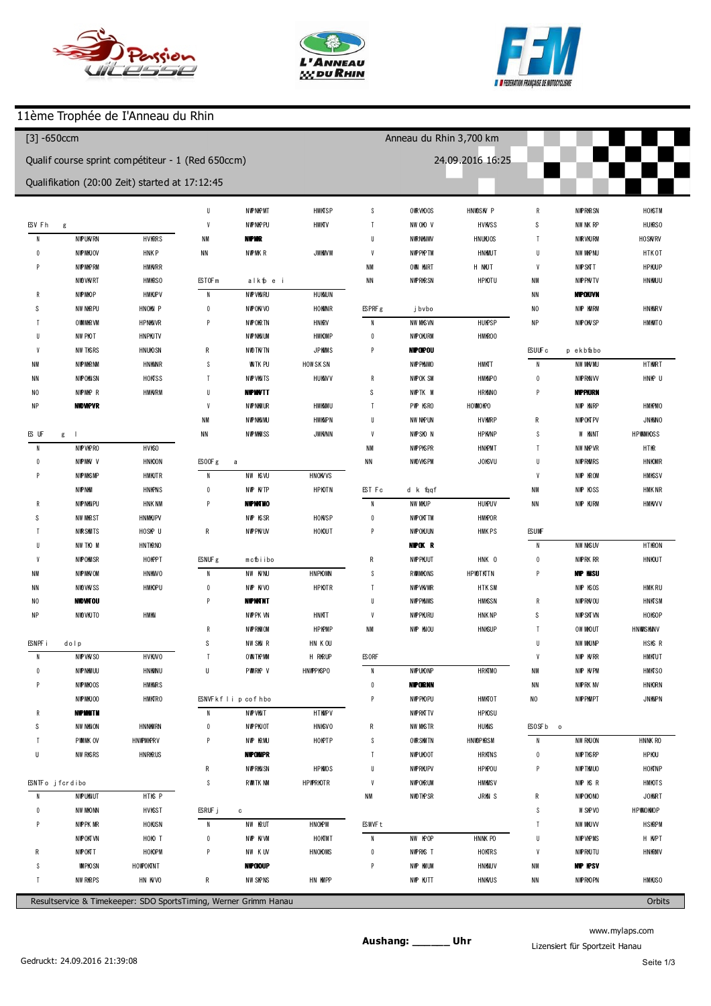





ı

## 11ème Trophée de I'Anneau du Rhin

| (694) Kevin Jaeck<br>$\overline{1}$<br>$\overline{2}$<br>3<br>4<br>5<br>p6<br>$\overline{1}$<br>8<br>9<br>10<br>11<br>12<br>13 | 138.951<br>1 3 0.8 2 9<br>130.350<br>1 29.957<br>1 30.234<br>1 41.538<br>2 00.590<br>1 43.274<br>1 47.656<br>1 30.510<br>132.161<br>1 30.345<br>129.395 | Qualif course sprint compétiteur - 1 (Red 650ccm)<br>Qualifikation (20:00 Zeit) started at 17:12:45<br>$+9.556$<br>$+1.434$<br>$+0.955$<br>$+0.562$<br>$+0.839$<br>$+12.143$<br>$+31.195$<br>$+13.879$<br>$+18.261$<br>$+1.115$<br>$+2.766$<br>$+0.950$ | $\, 8$<br>$\overline{9}$<br>10<br>p11<br>(672) Philippe<br>$\overline{1}$<br>$\overline{2}$<br>3<br>$\overline{4}$<br>p <sub>5</sub><br>$\boldsymbol{6}$<br>$\overline{1}$ | 131.307<br>131.338<br>130.544<br>1 30.454<br><b>DON SCHAL</b><br>139.158<br>132.992<br>132.571<br>131.180<br>1 2 7 9 7 1 | $+0.763$<br>$+0.794$<br>$-0.090$<br>$+8.181$<br>$+2.015$<br>$+1.594$<br>$+0.203$ | $\boldsymbol{6}$<br>$\overline{1}$<br>8<br>9<br>10<br>11<br>(635) Jérém ie | 259.226<br>1 42.249<br>151.109<br>133.370<br>2:14.157<br>135.561 | 24.09.2016 16:25<br>$+126.943$<br>$+9.966$<br>$+18.826$<br>$+1.087$<br>$+41.874$<br>$+3.278$ | 5<br>p6<br>$\overline{7}$<br>8<br>9<br>10 | 135.561<br>1 41.453<br>159.850<br>1 40.318<br>136.774<br>133.979 | $+2.670$<br>$+8.562$<br>$+26.959$<br>$+7.427$<br>$+3.883$<br>$+1.088$ |
|--------------------------------------------------------------------------------------------------------------------------------|---------------------------------------------------------------------------------------------------------------------------------------------------------|---------------------------------------------------------------------------------------------------------------------------------------------------------------------------------------------------------------------------------------------------------|----------------------------------------------------------------------------------------------------------------------------------------------------------------------------|--------------------------------------------------------------------------------------------------------------------------|----------------------------------------------------------------------------------|----------------------------------------------------------------------------|------------------------------------------------------------------|----------------------------------------------------------------------------------------------|-------------------------------------------|------------------------------------------------------------------|-----------------------------------------------------------------------|
|                                                                                                                                |                                                                                                                                                         |                                                                                                                                                                                                                                                         |                                                                                                                                                                            |                                                                                                                          |                                                                                  |                                                                            |                                                                  |                                                                                              |                                           |                                                                  |                                                                       |
|                                                                                                                                |                                                                                                                                                         |                                                                                                                                                                                                                                                         |                                                                                                                                                                            |                                                                                                                          |                                                                                  |                                                                            |                                                                  |                                                                                              |                                           |                                                                  |                                                                       |
|                                                                                                                                |                                                                                                                                                         |                                                                                                                                                                                                                                                         |                                                                                                                                                                            |                                                                                                                          |                                                                                  |                                                                            |                                                                  |                                                                                              |                                           |                                                                  |                                                                       |
|                                                                                                                                |                                                                                                                                                         |                                                                                                                                                                                                                                                         |                                                                                                                                                                            |                                                                                                                          |                                                                                  |                                                                            |                                                                  |                                                                                              |                                           |                                                                  |                                                                       |
|                                                                                                                                |                                                                                                                                                         |                                                                                                                                                                                                                                                         |                                                                                                                                                                            |                                                                                                                          |                                                                                  |                                                                            |                                                                  |                                                                                              |                                           |                                                                  |                                                                       |
|                                                                                                                                |                                                                                                                                                         |                                                                                                                                                                                                                                                         |                                                                                                                                                                            |                                                                                                                          |                                                                                  |                                                                            |                                                                  |                                                                                              |                                           |                                                                  |                                                                       |
|                                                                                                                                |                                                                                                                                                         |                                                                                                                                                                                                                                                         |                                                                                                                                                                            |                                                                                                                          |                                                                                  |                                                                            |                                                                  |                                                                                              |                                           |                                                                  |                                                                       |
|                                                                                                                                |                                                                                                                                                         |                                                                                                                                                                                                                                                         |                                                                                                                                                                            |                                                                                                                          |                                                                                  |                                                                            |                                                                  |                                                                                              |                                           |                                                                  |                                                                       |
|                                                                                                                                |                                                                                                                                                         |                                                                                                                                                                                                                                                         |                                                                                                                                                                            |                                                                                                                          |                                                                                  |                                                                            |                                                                  |                                                                                              | 11                                        | 132891                                                           |                                                                       |
|                                                                                                                                |                                                                                                                                                         |                                                                                                                                                                                                                                                         |                                                                                                                                                                            |                                                                                                                          |                                                                                  |                                                                            | <b>MEYER</b>                                                     |                                                                                              | 12                                        | 1 34.050                                                         | $+1.159$                                                              |
|                                                                                                                                |                                                                                                                                                         |                                                                                                                                                                                                                                                         |                                                                                                                                                                            |                                                                                                                          |                                                                                  | $\overline{1}$                                                             | 1 40.691                                                         | $+8.363$                                                                                     | 13                                        | 132.963                                                          | $+0.072$                                                              |
|                                                                                                                                |                                                                                                                                                         |                                                                                                                                                                                                                                                         |                                                                                                                                                                            |                                                                                                                          |                                                                                  | $\overline{2}$                                                             | 132.850                                                          | $+0.522$                                                                                     |                                           |                                                                  |                                                                       |
|                                                                                                                                |                                                                                                                                                         |                                                                                                                                                                                                                                                         |                                                                                                                                                                            |                                                                                                                          | $-3.006$                                                                         | $\sqrt{3}$                                                                 | 132328                                                           |                                                                                              |                                           | (688) F brian SCHNEDER                                           |                                                                       |
|                                                                                                                                |                                                                                                                                                         |                                                                                                                                                                                                                                                         |                                                                                                                                                                            | 4.17.438                                                                                                                 | $+2.46.461$                                                                      | $\overline{4}$                                                             | 133.102                                                          | $+0.774$                                                                                     | $\mathbf{1}$                              | 1 40.908                                                         | $+7.057$                                                              |
|                                                                                                                                |                                                                                                                                                         |                                                                                                                                                                                                                                                         |                                                                                                                                                                            | 139.176                                                                                                                  | $+8.199$                                                                         | 5                                                                          | 132.460                                                          | $+0.132$                                                                                     | $\overline{2}$                            | 135.199                                                          | $+1.348$                                                              |
|                                                                                                                                |                                                                                                                                                         |                                                                                                                                                                                                                                                         | 8                                                                                                                                                                          | 130.977                                                                                                                  |                                                                                  | p6                                                                         | 137.440                                                          | $+5.112$                                                                                     | 3                                         | 133.851                                                          |                                                                       |
|                                                                                                                                |                                                                                                                                                         |                                                                                                                                                                                                                                                         | $\overline{9}$                                                                                                                                                             | 131.085                                                                                                                  | $+0.108$                                                                         | $\overline{1}$                                                             | 334.652                                                          | $+2.02.324$                                                                                  | 4                                         | 134.153                                                          | $+0.302$                                                              |
|                                                                                                                                |                                                                                                                                                         |                                                                                                                                                                                                                                                         | 10                                                                                                                                                                         | 131.108                                                                                                                  | $+0.131$                                                                         | 8                                                                          | 1 41.381                                                         | $+9.053$                                                                                     | p <sub>5</sub>                            | 132.739                                                          | $-1.112$                                                              |
| (648) kevin JACOB                                                                                                              |                                                                                                                                                         |                                                                                                                                                                                                                                                         | p11                                                                                                                                                                        | 1 30.066                                                                                                                 | $-0.911$                                                                         | 9                                                                          | 136.241                                                          | $+3.913$                                                                                     | $6\phantom{.0}$                           | 4 44.117                                                         | $+3:10.266$                                                           |
| $\overline{1}$                                                                                                                 | 139.352                                                                                                                                                 | $+9.624$                                                                                                                                                                                                                                                |                                                                                                                                                                            |                                                                                                                          |                                                                                  | 10                                                                         | 133.635                                                          | $+1.307$                                                                                     | $\overline{1}$                            | 1 41.395                                                         | $+7.544$                                                              |
| $\overline{2}$                                                                                                                 | 1 30.949                                                                                                                                                | $+1.221$                                                                                                                                                                                                                                                | (622) Jacky De pye                                                                                                                                                         |                                                                                                                          |                                                                                  | 511                                                                        | 1 29.630                                                         | $-2.698$                                                                                     | 8                                         | 135.056                                                          | $+1.205$                                                              |
| 3                                                                                                                              | 130.603                                                                                                                                                 | $+0.875$                                                                                                                                                                                                                                                | $\overline{1}$                                                                                                                                                             | 1 44.698                                                                                                                 | $+12.996$                                                                        |                                                                            |                                                                  |                                                                                              | 9                                         | 134.520                                                          | $+0.669$                                                              |
| $\overline{4}$                                                                                                                 | 131.044                                                                                                                                                 | $+1.316$                                                                                                                                                                                                                                                | $\overline{2}$                                                                                                                                                             | 134.973                                                                                                                  | $+3.271$                                                                         | (674) Fabrice GANZITI                                                      |                                                                  |                                                                                              | 10                                        | 134.266                                                          | $+0.415$                                                              |
| 5                                                                                                                              | 131.138                                                                                                                                                 | $+1.410$                                                                                                                                                                                                                                                | $\sqrt{3}$                                                                                                                                                                 | 131.702                                                                                                                  |                                                                                  | $\overline{1}$                                                             | 1 40.834                                                         | $+8.389$                                                                                     | 11                                        | 134.850                                                          | $+0.999$                                                              |
| p6                                                                                                                             | 1 40.567                                                                                                                                                | $+10.839$                                                                                                                                                                                                                                               | $\overline{4}$                                                                                                                                                             | 134.665                                                                                                                  | $+2.963$                                                                         | $\overline{2}$                                                             | 132.770                                                          | $+0.325$                                                                                     |                                           |                                                                  |                                                                       |
| 7                                                                                                                              | 156.076                                                                                                                                                 | $+26.348$                                                                                                                                                                                                                                               | p <sub>5</sub>                                                                                                                                                             | 133.989                                                                                                                  | $+2.287$                                                                         | $\overline{3}$                                                             | 132.881                                                          | $+0.436$                                                                                     | (680) Cedric Becht                        |                                                                  |                                                                       |
| 8                                                                                                                              | 1 47.240                                                                                                                                                | $+17.512$                                                                                                                                                                                                                                               |                                                                                                                                                                            |                                                                                                                          |                                                                                  | $\overline{4}$                                                             | 132.445                                                          |                                                                                              | $\overline{1}$                            | 1 41.689                                                         | $+7.521$                                                              |
| 9                                                                                                                              | 132.065                                                                                                                                                 | $+2.337$                                                                                                                                                                                                                                                | (618) Joffrey                                                                                                                                                              | PFELLER                                                                                                                  |                                                                                  | p <sub>5</sub>                                                             | 133.887                                                          | $+1.442$                                                                                     | $\overline{2}$                            | 1 3 5 4 5 5                                                      | $+1.287$                                                              |
| 10                                                                                                                             | 1 30.920                                                                                                                                                | $+1.192$                                                                                                                                                                                                                                                | $\overline{1}$                                                                                                                                                             | 1 44.918                                                                                                                 | $+13.201$                                                                        | $6\phantom{1}$                                                             | 5 00.216                                                         | $+327.771$                                                                                   | 3                                         | 134.168                                                          |                                                                       |
| 11                                                                                                                             | 1 29.966                                                                                                                                                | $+0.238$                                                                                                                                                                                                                                                | $\overline{2}$                                                                                                                                                             | 134.992                                                                                                                  | $+3.275$                                                                         | $\overline{\phantom{a}}$                                                   | 139.905                                                          | $+7.460$                                                                                     | 4                                         | 134.626                                                          | $+0.458$                                                              |
| 12                                                                                                                             | 1 29.728                                                                                                                                                |                                                                                                                                                                                                                                                         | 3                                                                                                                                                                          | 131.717                                                                                                                  |                                                                                  | 8                                                                          | 133.106                                                          | $+0.661$                                                                                     | 5                                         | 135.928                                                          | $+1.760$                                                              |
| 13                                                                                                                             | 1 29.872                                                                                                                                                | $+0.144$                                                                                                                                                                                                                                                | $\overline{4}$                                                                                                                                                             | 133.491                                                                                                                  | $+1.774$                                                                         | 9                                                                          | 133.858                                                          | $+1.413$                                                                                     | p6                                        | 136.791                                                          | $+2.623$                                                              |
|                                                                                                                                |                                                                                                                                                         |                                                                                                                                                                                                                                                         | 5                                                                                                                                                                          | 135.020                                                                                                                  | $+3.303$                                                                         | 10                                                                         | 134.128                                                          | $+1.683$                                                                                     | $\overline{7}$                            | 2 40.287                                                         | $+1.06.119$                                                           |
| (613) Loïc GROS                                                                                                                |                                                                                                                                                         |                                                                                                                                                                                                                                                         | p6                                                                                                                                                                         | 1 46.145                                                                                                                 | $+14.428$                                                                        |                                                                            |                                                                  |                                                                                              | 8                                         | 1 40.813                                                         | $+6.645$                                                              |
| $\overline{1}$                                                                                                                 | 139.962                                                                                                                                                 | $+9.892$                                                                                                                                                                                                                                                | $\overline{1}$                                                                                                                                                             | 2:17.300                                                                                                                 | $+45.583$                                                                        | (625) Bob Bardot                                                           |                                                                  |                                                                                              | $\mathbf{9}$                              | 1 34.955                                                         | $+0.787$                                                              |
| $\mathbf{2}$                                                                                                                   | 131.088                                                                                                                                                 | $+1.018$                                                                                                                                                                                                                                                | p8                                                                                                                                                                         | 3 05.349                                                                                                                 | $+1$ 33.632                                                                      | $\mathbf{1}$                                                               | 138.213                                                          | $+5.702$                                                                                     | 10                                        | 134.930                                                          | $+0.762$                                                              |
| 3                                                                                                                              | 130.226                                                                                                                                                 | $+0.156$                                                                                                                                                                                                                                                |                                                                                                                                                                            |                                                                                                                          |                                                                                  | $\overline{2}$                                                             | 132511                                                           |                                                                                              | 11                                        | 135.419                                                          | $+1.251$                                                              |
|                                                                                                                                | 130.822                                                                                                                                                 | $+0.752$                                                                                                                                                                                                                                                | (619) N COLAS FR CKER                                                                                                                                                      |                                                                                                                          |                                                                                  | 3                                                                          | 133.238                                                          | $+0.727$                                                                                     | 512                                       | 133.037                                                          | $-1.131$                                                              |
| - 5                                                                                                                            | 130.070                                                                                                                                                 |                                                                                                                                                                                                                                                         | $\overline{1}$                                                                                                                                                             | 139.174                                                                                                                  | $+7.039$                                                                         | $\overline{4}$                                                             | 135.779                                                          | $+3.268$                                                                                     |                                           |                                                                  |                                                                       |
| p6                                                                                                                             | 1 41.121                                                                                                                                                | $+11.051$                                                                                                                                                                                                                                               | $\overline{2}$                                                                                                                                                             | 133.827                                                                                                                  | $+1.692$                                                                         | p5                                                                         | 1 40.675                                                         | $+8.164$                                                                                     | (626) Eric Ruyer                          |                                                                  |                                                                       |
| $\overline{7}$                                                                                                                 | 3 00.429                                                                                                                                                | +1 30.359                                                                                                                                                                                                                                               | 3                                                                                                                                                                          | 134.508                                                                                                                  | $+2.373$                                                                         | 6                                                                          | 256.071                                                          | $+123.560$                                                                                   | $\overline{1}$                            | 1 45.821                                                         | $+11.452$                                                             |
| p8                                                                                                                             | 1 45.656                                                                                                                                                | $+15.586$                                                                                                                                                                                                                                               | $\overline{4}$                                                                                                                                                             | 132135                                                                                                                   |                                                                                  | $7\phantom{.0}$                                                            | 138.227                                                          | $+5.716$                                                                                     | $\overline{2}$                            | 137.653                                                          | $+3.284$                                                              |
|                                                                                                                                |                                                                                                                                                         |                                                                                                                                                                                                                                                         | p5                                                                                                                                                                         | 135.161                                                                                                                  | $+3.026$                                                                         | 8                                                                          | 135.839                                                          | $+3.328$                                                                                     | 3                                         | 137.082                                                          | $+2.713$                                                              |
| (617) RÉM IFUGLER                                                                                                              |                                                                                                                                                         |                                                                                                                                                                                                                                                         | $\boldsymbol{6}$                                                                                                                                                           | 5 0 7.4 10                                                                                                               | $+335.275$                                                                       | $\overline{9}$                                                             | 132.580                                                          | $+0.069$                                                                                     | $\overline{4}$                            | 1 34.645                                                         | $+0.276$                                                              |
| $\overline{1}$                                                                                                                 | 138.187                                                                                                                                                 | $+7.643$                                                                                                                                                                                                                                                |                                                                                                                                                                            |                                                                                                                          |                                                                                  | 510                                                                        | 1 27.365                                                         | $-5.146$                                                                                     | p5                                        | 132.212                                                          | $-2.157$                                                              |
| $\overline{2}$                                                                                                                 | 1 40.211                                                                                                                                                | $+9.667$                                                                                                                                                                                                                                                | (658) Maxime Feutz                                                                                                                                                         |                                                                                                                          |                                                                                  |                                                                            |                                                                  |                                                                                              | $\boldsymbol{6}$                          | 4 4 6 3 9 2                                                      | $+3.12.023$                                                           |
| 3                                                                                                                              | 1 3 3 4 0 5                                                                                                                                             | $+2.861$                                                                                                                                                                                                                                                | $\overline{1}$                                                                                                                                                             | 1 44.587                                                                                                                 | $+12.304$                                                                        | (609) W illiam                                                             | <b>B</b> ehra                                                    |                                                                                              | $\overline{7}$                            | 1 40.899                                                         | $+6.530$                                                              |
| $\overline{4}$                                                                                                                 | 132.791                                                                                                                                                 | $+2.247$                                                                                                                                                                                                                                                | $\overline{2}$                                                                                                                                                             | 134.990                                                                                                                  | $+2.707$                                                                         | $\overline{1}$                                                             | 1 44.323                                                         | $+11.432$                                                                                    | 8                                         | 139.306                                                          | $+4.937$                                                              |
| p5                                                                                                                             | 132.774                                                                                                                                                 | $+2.230$                                                                                                                                                                                                                                                | $\sqrt{3}$                                                                                                                                                                 | 1 44.489                                                                                                                 | $+12.206$                                                                        | $\overline{2}$                                                             | 135.647                                                          | $+2.756$                                                                                     | 9                                         | 135.878                                                          | $+1.509$                                                              |
| $\boldsymbol{6}$                                                                                                               | 4 03.261                                                                                                                                                | $+232.717$                                                                                                                                                                                                                                              | $\overline{4}$                                                                                                                                                             | 132.283                                                                                                                  |                                                                                  | 3                                                                          | 134.080                                                          | $+1.189$                                                                                     | 10                                        | 134,369                                                          |                                                                       |
| $\overline{1}$                                                                                                                 | 1 45.536                                                                                                                                                | $+14.992$                                                                                                                                                                                                                                               | p <sub>5</sub>                                                                                                                                                             | 1 46.316                                                                                                                 | $+14.033$                                                                        | 4                                                                          | 134.877                                                          | $+1.986$                                                                                     | 11                                        | 135.231                                                          | $+0.862$                                                              |

www.mylaps.com Lizensiert für Sportzeit Hanau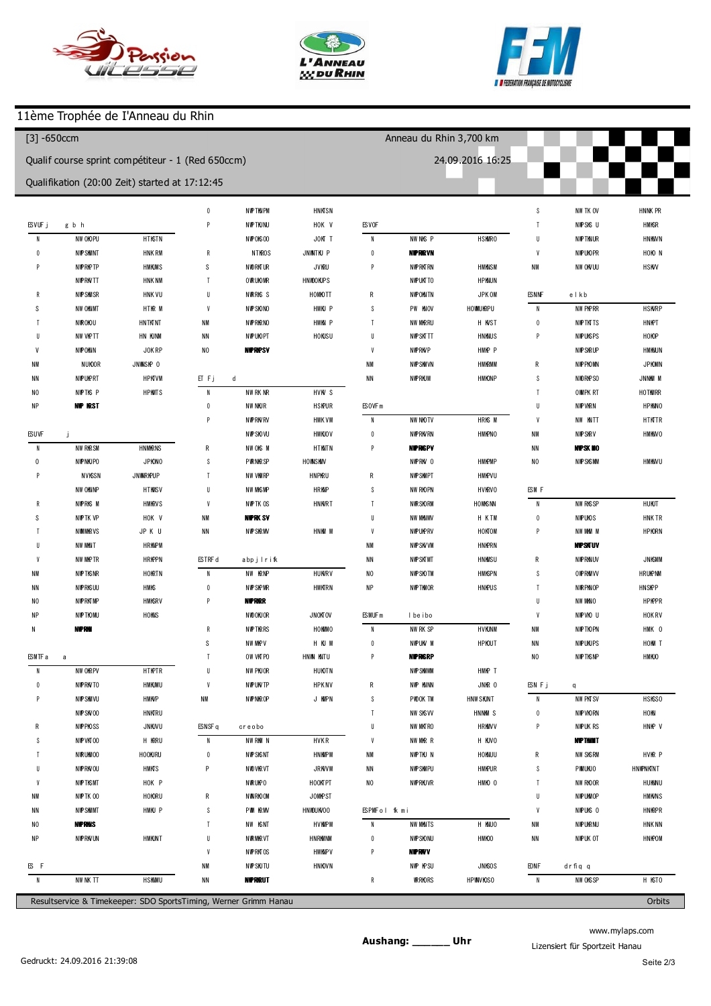





## 11ème Trophée de I'Anneau du Rhin

| $[3] -650$ ccm                                    |                        |                                                |                   |                         |             | Anneau du Rhin 3,700 km |                         |             |                          |                        |            |  |  |
|---------------------------------------------------|------------------------|------------------------------------------------|-------------------|-------------------------|-------------|-------------------------|-------------------------|-------------|--------------------------|------------------------|------------|--|--|
| Qualif course sprint compétiteur - 1 (Red 650ccm) |                        |                                                |                   |                         |             | 24.09.2016 16:25        |                         |             |                          |                        |            |  |  |
|                                                   |                        | Qualifikation (20:00 Zeit) started at 17:12:45 |                   |                         |             |                         |                         |             |                          |                        |            |  |  |
|                                                   |                        |                                                | $\overline{2}$    | 137.130                 | $+1.761$    |                         |                         |             | $\boldsymbol{6}$         | 1 47.429               | $+11.435$  |  |  |
| (698) M kaelJAECK                                 |                        |                                                | $\sqrt{3}$        | 137.818                 | $+2.449$    | (692) bryan reech       |                         |             | $\overline{\phantom{a}}$ | 136.648                | $+0.654$   |  |  |
| $\overline{1}$                                    | 1 42.238               | $+7.671$                                       | p4                | 132.622                 | $-2.747$    | $\overline{1}$          | 1 41.643                | $+6.052$    | $\,$ 8                   | 137.185                | $+1.191$   |  |  |
| $\overline{2}$                                    | 136.017                | $+1.450$                                       | $\sqrt{5}$        | 17.526                  | $-1.17.843$ | $\overline{2}$          | 135.591                 |             | $\boldsymbol{9}$         | 138.235                | $+2.241$   |  |  |
| 3                                                 | 135.373                | $+0.806$                                       | p6                | 1 25.785                | $-9.584$    | 3                       | 1 35.751                | $+0.160$    | 10                       | 1 42.988               | $+6.994$   |  |  |
| 4                                                 | 135.977                | $+1.410$                                       | $\overline{1}$    | 258.205                 | $+1$ 22.836 | 4                       | 1 38.772                | $+3.181$    |                          |                        |            |  |  |
| 5                                                 | 136.065                | $+1.498$                                       | 8                 | 155.646                 | $+20.277$   | p5                      | 132.171                 | $-3.420$    |                          | (611) Adrien CHONE     |            |  |  |
| p6                                                | 1 42.107               | $+7.540$                                       | $\overline{9}$    | 136.212                 | $+0.843$    | 6                       | 3 44.129                | $+2.08.538$ | $\overline{1}$           | 1 43.355               | $+6.953$   |  |  |
| $\overline{7}$                                    | 152.284                | $+17.717$                                      | 10                | 135.512                 | $+0.143$    | $\overline{1}$          | 1 40.558                | $+4.967$    | $\overline{2}$           | 137.776                | $+1.374$   |  |  |
| 8                                                 | 1 49.377               | $+14.810$                                      | 11                | 138.237                 | $+2.868$    | 8                       | 136.777                 | $+1.186$    | 3                        | 138.636                | $+2.234$   |  |  |
| p9                                                | 132.114                | $-2.453$                                       | 12                | 135.369                 |             | 9                       | 1 35.934                | $+0.343$    | $\overline{4}$           | 136.583                | $+0.181$   |  |  |
| 10                                                | 18.225                 | $-1.16.342$                                    |                   |                         |             | 10                      | 136.091                 | $+0.500$    | p <sub>5</sub>           | 133.201                | $-3.201$   |  |  |
| 11                                                | 138.357                | $+3.790$                                       | (74) Marc Gilardi |                         |             | 11                      | 1 3 5 8 0 4             | $+0.213$    | $\boldsymbol{6}$         | 1 25.362               | $-11.040$  |  |  |
| 12                                                | 137.643                | $+3.076$                                       | $\overline{1}$    | 1 45.415                | $+9.946$    |                         |                         |             | $\overline{1}$           | 203.457                | $+27.055$  |  |  |
| 13                                                | 134.567                |                                                | $\overline{2}$    | 1 41.854                | $+6.385$    | (629) Paulpaquet        |                         |             | 8                        | 139.514                | $+3.112$   |  |  |
|                                                   |                        |                                                | $\sqrt{3}$        | 135.959                 | $+0.490$    | $\overline{1}$          | 1 41.279                | $+5.640$    | 9                        | 1 44.177               | $+7.775$   |  |  |
|                                                   | (689) Cedric Mascha    |                                                | $\overline{4}$    | 136.298                 | $+0.829$    | $\overline{2}$          | 135.951                 | $+0.312$    | 10                       | 136.594                | $+0.192$   |  |  |
| $\overline{1}$                                    | 1 45.560               | $+10.516$                                      | p5                | 1 42.640                | $+7.171$    | 3                       | 135.639                 |             | 11                       | 136.402                |            |  |  |
| p2                                                | 131.832                | $-3.212$                                       | $\boldsymbol{6}$  | 351.563                 | $+2.16.094$ | 4                       | 1 35.942                | $+0.303$    | 12                       | 136.600                | $+0.198$   |  |  |
| 3                                                 | 19.661                 | $-1.15.383$                                    | $\overline{1}$    | 1 49.053                | $+13.584$   | p5                      | 136.037                 | $+0.398$    |                          |                        |            |  |  |
| $\overline{4}$                                    | 1 42.113               | $+7.069$                                       | 8                 | 1 40.603                | $+5.134$    | $6\phantom{1}6$         | 1 45.231                | $+9.592$    |                          | (604) julien Collignon |            |  |  |
| 5                                                 | 1 35.640               | $+0.596$                                       | $\overline{9}$    | 137.426                 | $+1.957$    | $\overline{7}$          | 156.250                 | $+20.611$   | $\overline{1}$           | 1 45.663               | $+8.874$   |  |  |
| p6                                                | 137.493                | $+2.449$                                       | 10                | 135.469                 |             | 8                       | 1 40.109                | $+4.470$    | $\overline{2}$           | 138.264                | $+1.475$   |  |  |
| $\overline{1}$                                    | 100.596                | $-34.448$                                      | 11                | 136.509                 | $+1.040$    | $\overline{9}$          | 1 38.359                | $+2.720$    | 3                        | 1 40.040               | $+3.251$   |  |  |
| 8                                                 | 1 40.174               | $+5.130$                                       |                   |                         |             | 10                      | 136.990                 | $+1.351$    | $\overline{4}$           | 136.789                |            |  |  |
| 9                                                 | 1 40.375               | $+5.331$                                       |                   | (675) Geoffrey DESMOULN |             | 11                      | 136.707                 | $+1.068$    | p5                       | 1 35.189               | $-1.600$   |  |  |
| 10                                                | 137.615                | $+2.571$                                       | $\overline{1}$    | 1 44.513                | $+8.959$    | 12                      | 136.270                 | $+0.631$    | $\boldsymbol{6}$         | 2 3 5 0 9 9            | $+58.310$  |  |  |
| 11                                                | 135.688                | $+0.644$                                       | $\overline{2}$    | 136.305                 | $+0.751$    | 13                      | 137.025                 | $+1.386$    | $\overline{\phantom{a}}$ | 153.123                | $+16.334$  |  |  |
| 12                                                | 135.703                | $+0.659$                                       | $\sqrt{3}$        | 135.554                 |             |                         |                         |             | 8                        | 1 40.124               | $+3.335$   |  |  |
| 13                                                | 137.208                | $+2.164$                                       | $\overline{4}$    | 1 2 2.8 25              | $-12.729$   |                         | (608) Philippe B0 EHLER |             | $\boldsymbol{9}$         | 139.248                | $+2.459$   |  |  |
| 14                                                | 135.044                |                                                | 5                 | 137.556                 | $+2.002$    | $\overline{1}$          | 1 45.463                | $+9.810$    | 10                       | 137.231                | $+0.442$   |  |  |
|                                                   |                        |                                                | p6                | 1 40.394                | $+4.840$    | $\overline{2}$          | 1 38.940                | $+3.287$    | 11                       | 138.836                | $+2.047$   |  |  |
|                                                   | (607) David De lenbach |                                                | $\overline{1}$    | 2 49.732                | $+1.14.178$ | 3                       | 135.653                 |             | 12                       | 137.613                | $+0.824$   |  |  |
|                                                   | 1 42.539               | $+7.375$                                       | 8                 | 1 43.825                | $+8.271$    | $\overline{4}$          | 136.000                 | $+0.347$    |                          |                        |            |  |  |
| $\overline{c}$                                    | 135.972                | $+0.808$                                       | 9                 | 138.973                 | $+3.419$    | p5                      | 134.111                 | $-1.542$    |                          | (614) M ickael Touati  |            |  |  |
| 3                                                 | 136.098                | $+0.934$                                       | p10               | 131.523                 | $-4.031$    | 6                       | 3 2 2.470               | $+146.817$  | $\overline{1}$           | 1 43.769               | $+6.662$   |  |  |
| 4                                                 | 136.922                | $+1.758$                                       |                   |                         |             | 7                       | 1 46.699                | $+11.046$   | $\boldsymbol{2}$         | 139.251                | $+2.144$   |  |  |
| p5                                                | 133.266                | $-1.898$                                       |                   | (616) Thomas FUHRER     |             | 8                       | 1 40.752                | $+5.099$    | 3                        | 1 38.456               | $+1.349$   |  |  |
| 6                                                 | 139.722                | $+4.558$                                       | $\overline{1}$    | 1 45.041                | $+9.454$    | $\boldsymbol{9}$        | 1 40.545                | $+4.892$    | $\overline{4}$           | 137.107                |            |  |  |
| $\overline{\phantom{a}}$                          | 158.022                | $+22.858$                                      | $\overline{2}$    | 136.617                 | $+1.030$    | 10                      | 137.841                 | $+2.188$    | p5                       | 1 46.650               | $+9.543$   |  |  |
| 8                                                 | 135.928                | $+0.764$                                       | p3                | 1 29.597                | $-5.990$    | 11                      | 136.038                 | $+0.385$    | $\boldsymbol{6}$         | 308.824                | $+131.717$ |  |  |
| 9                                                 | 137.607                | $+2.443$                                       | $\overline{4}$    | 158.324                 | $+22.737$   | 12                      | 1 3 5 8 9 5             | $+0.242$    | $\overline{1}$           | 1 45.225               | $+8.118$   |  |  |
| 10                                                | 137.422                | $+2.258$                                       | p <sub>5</sub>    | 1.15.220                | $-20.367$   |                         |                         |             | $\,$ 8                   | 138.023                | $+0.916$   |  |  |
| 11                                                | 136.007                | $+0.843$                                       | $\boldsymbol{6}$  | 3 04.509                | +1 28.922   |                         | (630) ROB N PLAZA       |             | 9                        | 1 38.642               | $+1.535$   |  |  |
| 12                                                | 135.164                |                                                | $\overline{1}$    | 1 44.617                | $+9.030$    | $\overline{1}$          | 1 40.176                | $+4.182$    | 10                       | 138.518                | $+1.411$   |  |  |
| 13                                                | 135.981                | $+0.817$                                       | 8                 | 150.597                 | $+15.010$   | 2                       | 136.218                 | $+0.224$    | 11                       | 138.427                | $+1.320$   |  |  |
|                                                   |                        |                                                | $\overline{9}$    | 135.726                 | $+0.139$    | 3                       | 135.994                 |             |                          |                        |            |  |  |
| (644) m ickaelesteves                             |                        |                                                | 10                | 136.878<br>135.587      | $+1.291$    | p4                      | 134.368                 | $-1.626$    |                          | (21) A deline GU LTAT  |            |  |  |
|                                                   |                        | 141.477<br>$+6.108$<br>$\overline{1}$          |                   |                         |             | 5                       | 455.256                 | $+3.19.262$ | $\overline{1}$           | 1 42.663               | $+4.672$   |  |  |

www.mylaps.com Lizensiert für Sportzeit Hanau